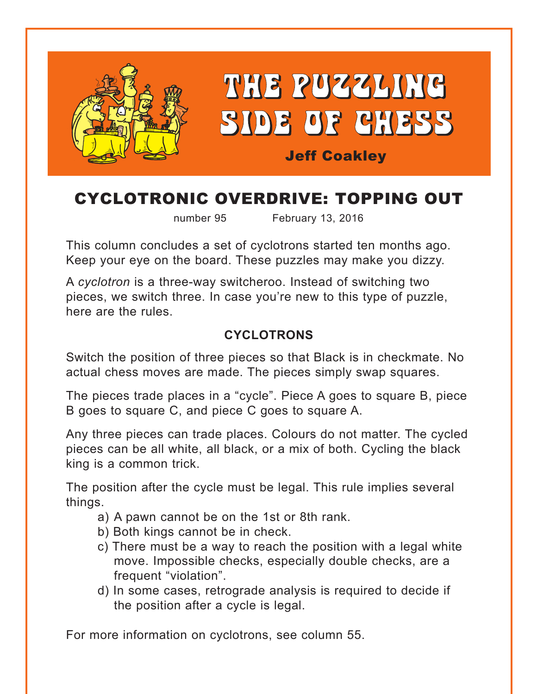

# CYCLOTRONIC OVERDRIVE: TOPPING OUT

number 95 February 13, 2016

This column concludes a set of cyclotrons started ten months ago. Keep your eye on the board. These puzzles may make you dizzy.

A *cyclotron* is a three-way switcheroo. Instead of switching two pieces, we switch three. In case you're new to this type of puzzle, here are the rules.

### **CYCLOTRONS**

Switch the position of three pieces so that Black is in checkmate. No actual chess moves are made. The pieces simply swap squares.

The pieces trade places in a "cycle". Piece A goes to square B, piece B goes to square C, and piece C goes to square A.

Any three pieces can trade places. Colours do not matter. The cycled pieces can be all white, all black, or a mix of both. Cycling the black king is a common trick.

The position after the cycle must be legal. This rule implies several things.

- a) A pawn cannot be on the 1st or 8th rank.
- b) Both kings cannot be in check.
- c) There must be a way to reach the position with a legal white move. Impossible checks, especially double checks, are a frequent "violation".
- d) In some cases, retrograde analysis is required to decide if the position after a cycle is legal.

For more information on cyclotrons, see column 55.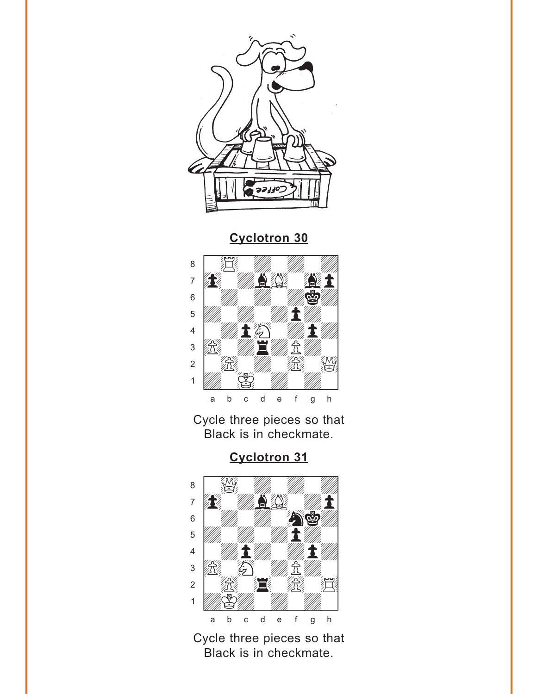<span id="page-1-0"></span>



Cycle three pieces so that Black is in checkmate.

**Cyclotron 31** 



Cycle three pieces so that Black is in checkmate.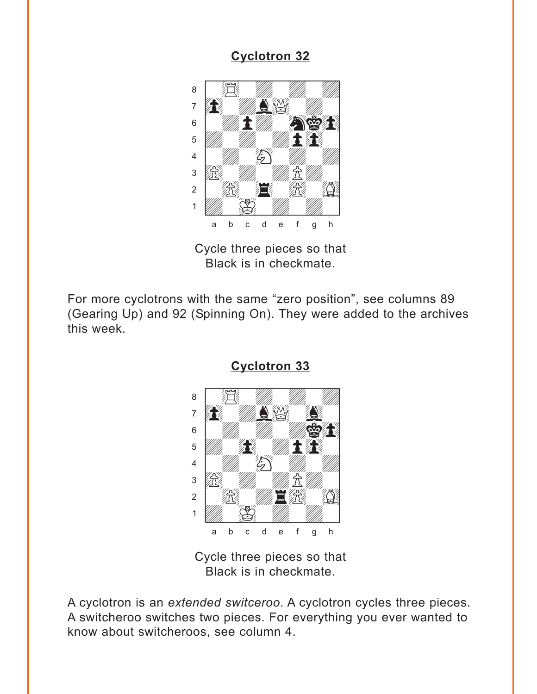<span id="page-2-0"></span>

Cycle three pieces so that Black is in checkmate.

For more cyclotrons with the same "zero position", see columns 89 (Gearing Up) and 92 (Spinning On). They were added to the archives this week.



**[Cyclotron 33](#page-6-0)**

Cycle three pieces so that Black is in checkmate.

A cyclotron is an *extended switceroo*. A cyclotron cycles three pieces. A switcheroo switches two pieces. For everything you ever wanted to know about switcheroos, see column 4.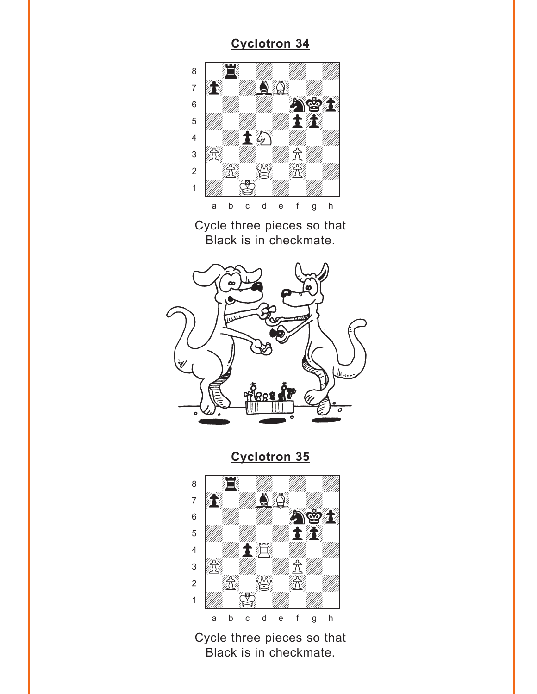<span id="page-3-0"></span>

Cycle three pieces so that Black is in checkmate.



**[Cyclotron 35](#page-6-0)**



Cycle three pieces so that Black is in checkmate.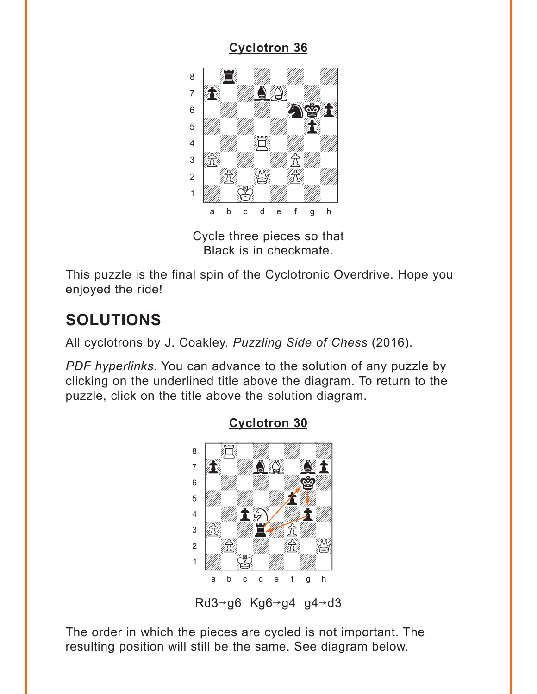<span id="page-4-0"></span>

Cycle three pieces so that Black is in checkmate.

This puzzle is the final spin of the Cyclotronic Overdrive. Hope you enjoyed the ride!

# **SOLUTIONS**

All cyclotrons by J. Coakley. *Puzzling Side of Chess* (2016).

*PDF hyperlinks*. You can advance to the solution of any puzzle by clicking on the underlined title above the diagram. To return to the puzzle, click on the title above the solution diagram.



**[Cyclotron 30](#page-1-0)**

Rd3 $\rightarrow$ g6 Kg6 $\rightarrow$ g4 g4 $\rightarrow$ d3

The order in which the pieces are cycled is not important. The resulting position will still be the same. See diagram below.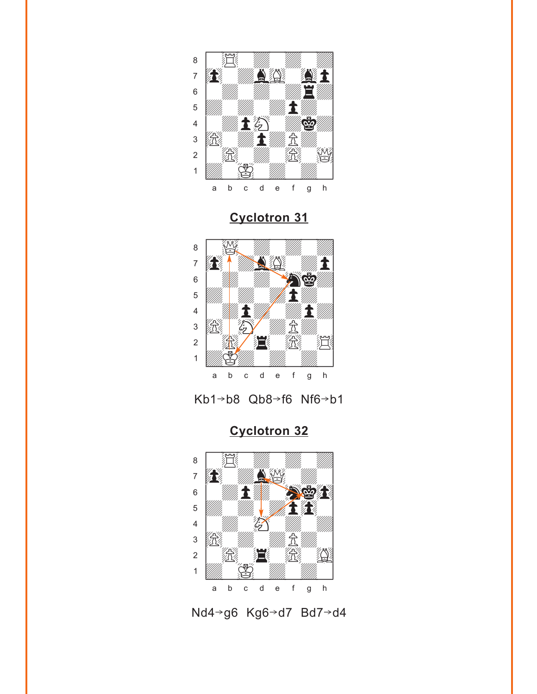<span id="page-5-0"></span>

**[Cyclotron 31](#page-1-0)**



Kb1-b8 Qb8-f6 Nf6-b1

**[Cyclotron 32](#page-2-0)**



Nd4→g6 Kg6→d7 Bd7→d4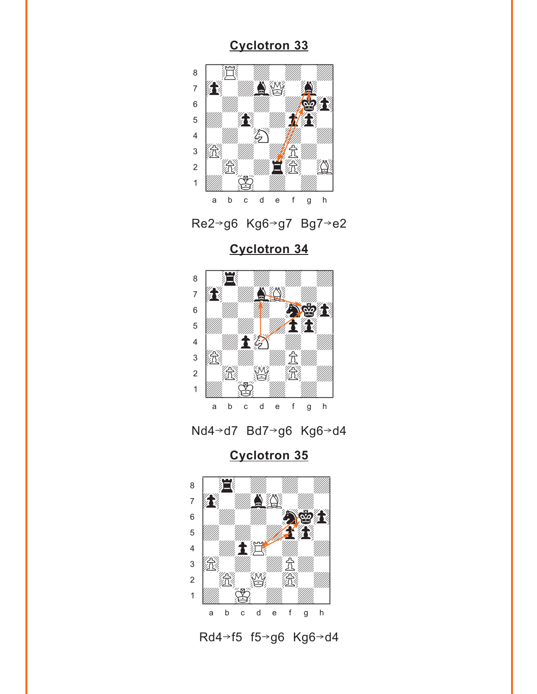<span id="page-6-0"></span>



**[Cyclotron 34](#page-3-0)**



Nd4→d7 Bd7→g6 Kg6→d4

**[Cyclotron 35](#page-3-0)**



Rd4→f5 f5→g6 Kg6→d4